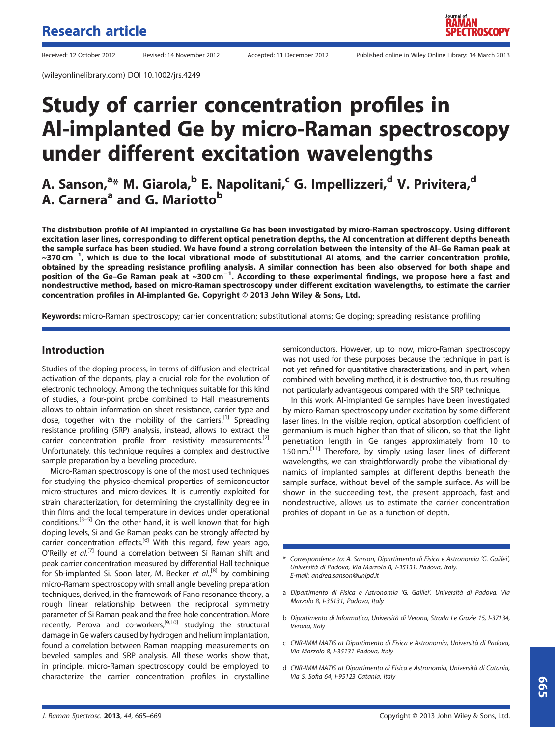(wileyonlinelibrary.com) DOI 10.1002/jrs.4249

# Study of carrier concentration profiles in Al-implanted Ge by micro-Raman spectroscopy under different excitation wavelengths

# A. Sanson,<sup>a</sup>\* M. Giarola,<sup>b</sup> E. Napolitani,<sup>c</sup> G. Impellizzeri,<sup>d</sup> V. Privitera,<sup>d</sup> A. Carnera<sup>a</sup> and G. Mariotto<sup>b</sup>

The distribution profile of Al implanted in crystalline Ge has been investigated by micro-Raman spectroscopy. Using different excitation laser lines, corresponding to different optical penetration depths, the Al concentration at different depths beneath the sample surface has been studied. We have found a strong correlation between the intensity of the Al–Ge Raman peak at  $\sim$ 370 cm $^{-1}$ , which is due to the local vibrational mode of substitutional Al atoms, and the carrier concentration profile, obtained by the spreading resistance profiling analysis. A similar connection has been also observed for both shape and position of the Ge-Ge Raman peak at ~300 cm<sup>-1</sup>. According to these experimental findings, we propose here a fast and nondestructive method, based on micro-Raman spectroscopy under different excitation wavelengths, to estimate the carrier concentration profiles in Al-implanted Ge. Copyright © 2013 John Wiley & Sons, Ltd.

Keywords: micro-Raman spectroscopy; carrier concentration; substitutional atoms; Ge doping; spreading resistance profiling

### Introduction

Studies of the doping process, in terms of diffusion and electrical activation of the dopants, play a crucial role for the evolution of electronic technology. Among the techniques suitable for this kind of studies, a four-point probe combined to Hall measurements allows to obtain information on sheet resistance, carrier type and dose, together with the mobility of the carriers.<sup>[1]</sup> Spreading resistance profiling (SRP) analysis, instead, allows to extract the carrier concentration profile from resistivity measurements.<sup>[2]</sup> Unfortunately, this technique requires a complex and destructive sample preparation by a beveling procedure.

Micro-Raman spectroscopy is one of the most used techniques for studying the physico-chemical properties of semiconductor micro-structures and micro-devices. It is currently exploited for strain characterization, for determining the crystallinity degree in thin films and the local temperature in devices under operational conditions.<sup>[3-5]</sup> On the other hand, it is well known that for high doping levels, Si and Ge Raman peaks can be strongly affected by carrier concentration effects.<sup>[6]</sup> With this regard, few years ago, O'Reilly et al.<sup>[7]</sup> found a correlation between Si Raman shift and peak carrier concentration measured by differential Hall technique for Sb-implanted Si. Soon later, M. Becker et al.,<sup>[8]</sup> by combining micro-Ramam spectroscopy with small angle beveling preparation techniques, derived, in the framework of Fano resonance theory, a rough linear relationship between the reciprocal symmetry parameter of Si Raman peak and the free hole concentration. More recently, Perova and co-workers,<sup>[9,10]</sup> studying the structural damage in Ge wafers caused by hydrogen and helium implantation, found a correlation between Raman mapping measurements on beveled samples and SRP analysis. All these works show that, in principle, micro-Raman spectroscopy could be employed to characterize the carrier concentration profiles in crystalline

semiconductors. However, up to now, micro-Raman spectroscopy was not used for these purposes because the technique in part is not yet refined for quantitative characterizations, and in part, when combined with beveling method, it is destructive too, thus resulting not particularly advantageous compared with the SRP technique.

In this work, Al-implanted Ge samples have been investigated by micro-Raman spectroscopy under excitation by some different laser lines. In the visible region, optical absorption coefficient of germanium is much higher than that of silicon, so that the light penetration length in Ge ranges approximately from 10 to 150 nm.<sup>[11]</sup> Therefore, by simply using laser lines of different wavelengths, we can straightforwardly probe the vibrational dynamics of implanted samples at different depths beneath the sample surface, without bevel of the sample surface. As will be shown in the succeeding text, the present approach, fast and nondestructive, allows us to estimate the carrier concentration profiles of dopant in Ge as a function of depth.

- \* Correspondence to: A. Sanson, Dipartimento di Fisica e Astronomia 'G. Galilei', Università di Padova, Via Marzolo 8, I-35131, Padova, Italy. E-mail: andrea.sanson@unipd.it
- a Dipartimento di Fisica e Astronomia 'G. Galilei', Università di Padova, Via Marzolo 8, I-35131, Padova, Italy
- b Dipartimento di Informatica, Università di Verona, Strada Le Grazie 15, I-37134, Verona, Italy
- c CNR-IMM MATIS at Dipartimento di Fisica e Astronomia, Università di Padova, Via Marzolo 8, I-35131 Padova, Italy
- d CNR-IMM MATIS at Dipartimento di Fisica e Astronomia, Università di Catania, Via S. Sofia 64, I-95123 Catania, Italy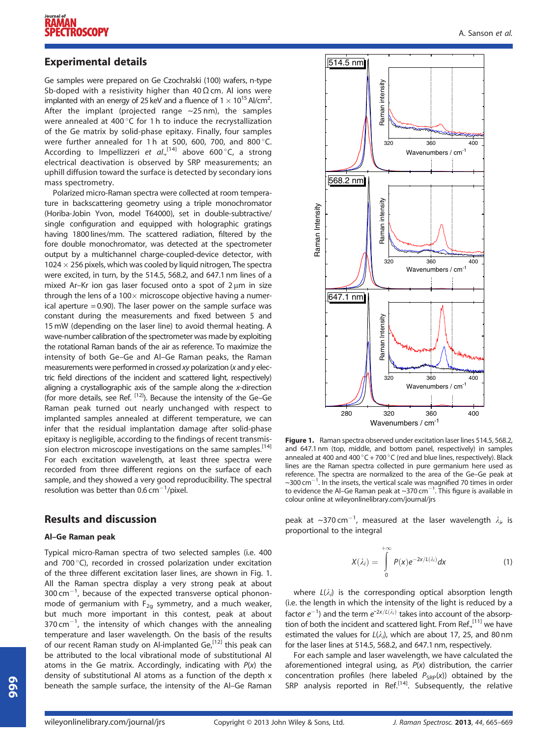# Experimental details

Ge samples were prepared on Ge Czochralski (100) wafers, n-type Sb-doped with a resistivity higher than  $40 \Omega$  cm. Al ions were implanted with an energy of 25 keV and a fluence of  $1 \times 10^{15}$  Al/cm<sup>2</sup>. . After the implant (projected range  $\sim$ 25 nm), the samples were annealed at 400°C for 1 h to induce the recrystallization of the Ge matrix by solid-phase epitaxy. Finally, four samples were further annealed for 1 h at 500, 600, 700, and 800 $^{\circ}$ C. According to Impellizzeri et al.,<sup>[14]</sup> above 600 °C, a strong electrical deactivation is observed by SRP measurements; an uphill diffusion toward the surface is detected by secondary ions mass spectrometry.

Polarized micro-Raman spectra were collected at room temperature in backscattering geometry using a triple monochromator (Horiba-Jobin Yvon, model T64000), set in double-subtractive/ single configuration and equipped with holographic gratings having 1800 lines/mm. The scattered radiation, filtered by the fore double monochromator, was detected at the spectrometer output by a multichannel charge-coupled-device detector, with  $1024 \times 256$  pixels, which was cooled by liquid nitrogen, The spectra were excited, in turn, by the 514.5, 568.2, and 647.1 nm lines of a mixed Ar–Kr ion gas laser focused onto a spot of  $2 \mu m$  in size through the lens of a  $100 \times$  microscope objective having a numerical aperture  $= 0.90$ ). The laser power on the sample surface was constant during the measurements and fixed between 5 and 15 mW (depending on the laser line) to avoid thermal heating. A wave-number calibration of the spectrometer was made by exploiting the rotational Raman bands of the air as reference. To maximize the intensity of both Ge–Ge and Al–Ge Raman peaks, the Raman measurements were performed in crossed xy polarization (x and y electric field directions of the incident and scattered light, respectively) aligning a crystallographic axis of the sample along the x-direction (for more details, see Ref. [12]). Because the intensity of the Ge–Ge Raman peak turned out nearly unchanged with respect to implanted samples annealed at different temperature, we can infer that the residual implantation damage after solid-phase epitaxy is negligible, according to the findings of recent transmission electron microscope investigations on the same samples.<sup>[14]</sup> For each excitation wavelength, at least three spectra were recorded from three different regions on the surface of each sample, and they showed a very good reproducibility. The spectral resolution was better than  $0.6 \text{ cm}^{-1}$ /pixel.

# Results and discussion

#### Al–Ge Raman peak

Typical micro-Raman spectra of two selected samples (i.e. 400 and 700 °C), recorded in crossed polarization under excitation of the three different excitation laser lines, are shown in Fig. 1. All the Raman spectra display a very strong peak at about 300 cm $^{-1}$ , because of the expected transverse optical phononmode of germanium with  $F_{2q}$  symmetry, and a much weaker, but much more important in this contest, peak at about 370 cm $^{-1}$ , the intensity of which changes with the annealing temperature and laser wavelength. On the basis of the results of our recent Raman study on Al-implanted Ge,<sup>[12]</sup> this peak can be attributed to the local vibrational mode of substitutional Al atoms in the Ge matrix. Accordingly, indicating with  $P(x)$  the density of substitutional Al atoms as a function of the depth x beneath the sample surface, the intensity of the Al–Ge Raman



Figure 1. Raman spectra observed under excitation laser lines 514.5, 568.2, and 647.1 nm (top, middle, and bottom panel, respectively) in samples annealed at 400 and 400 °C + 700 °C (red and blue lines, respectively). Black lines are the Raman spectra collected in pure germanium here used as reference. The spectra are normalized to the area of the Ge–Ge peak at  $\sim$ 300 cm $^{-1}$ . In the insets, the vertical scale was magnified 70 times in order to evidence the Al-Ge Raman peak at  $\sim$ 370 cm<sup>-1</sup>. This figure is available in colour online at wileyonlinelibrary.com/journal/jrs

peak at ~370 cm<sup>-1</sup>, measured at the laser wavelength  $\lambda_{i}$  is proportional to the integral

$$
X(\lambda_i) = \int\limits_{0}^{+\infty} P(x)e^{-2x/L(\lambda_i)}dx
$$
 (1)

where  $L(\lambda_i)$  is the corresponding optical absorption length (i.e. the length in which the intensity of the light is reduced by a factor  $e^{-1}$ ) and the term  $e^{-2x/L(\lambda_i)}$  takes into account of the absorption of both the incident and scattered light. From Ref., $[11]$  we have estimated the values for  $L(\lambda_i)$ , which are about 17, 25, and 80 nm for the laser lines at 514.5, 568.2, and 647.1 nm, respectively.

For each sample and laser wavelength, we have calculated the aforementioned integral using, as  $P(x)$  distribution, the carrier concentration profiles (here labeled  $P_{SRP}(x)$ ) obtained by the SRP analysis reported in Ref.<sup>[14]</sup>. Subsequently, the relative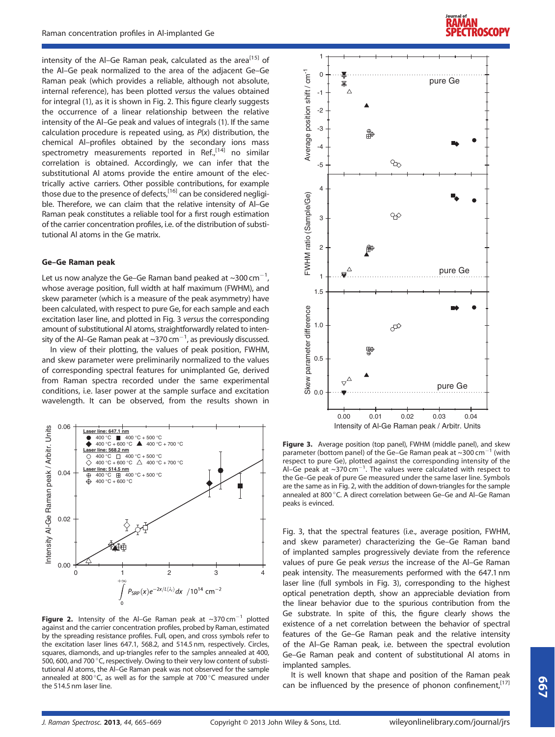intensity of the Al-Ge Raman peak, calculated as the area<sup>[15]</sup> of the Al–Ge peak normalized to the area of the adjacent Ge–Ge Raman peak (which provides a reliable, although not absolute, internal reference), has been plotted versus the values obtained for integral (1), as it is shown in Fig. 2. This figure clearly suggests the occurrence of a linear relationship between the relative intensity of the Al–Ge peak and values of integrals (1). If the same calculation procedure is repeated using, as  $P(x)$  distribution, the chemical Al–profiles obtained by the secondary ions mass spectrometry measurements reported in  $\text{Ref}_n^{[14]}$  no similar correlation is obtained. Accordingly, we can infer that the substitutional Al atoms provide the entire amount of the electrically active carriers. Other possible contributions, for example those due to the presence of defects,<sup>[16]</sup> can be considered negligible. Therefore, we can claim that the relative intensity of Al–Ge Raman peak constitutes a reliable tool for a first rough estimation of the carrier concentration profiles, i.e. of the distribution of substitutional Al atoms in the Ge matrix.

#### Ge–Ge Raman peak

Let us now analyze the Ge–Ge Raman band peaked at  $\sim$ 300 cm<sup>-1</sup>. , whose average position, full width at half maximum (FWHM), and skew parameter (which is a measure of the peak asymmetry) have been calculated, with respect to pure Ge, for each sample and each excitation laser line, and plotted in Fig. 3 versus the corresponding amount of substitutional Al atoms, straightforwardly related to intensity of the Al–Ge Raman peak at ~370 cm $^{-1}$ , as previously discussed.

In view of their plotting, the values of peak position, FWHM, and skew parameter were preliminarily normalized to the values of corresponding spectral features for unimplanted Ge, derived from Raman spectra recorded under the same experimental conditions, i.e. laser power at the sample surface and excitation wavelength. It can be observed, from the results shown in



**Figure 2.** Intensity of the Al–Ge Raman peak at  $\sim$ 370 cm<sup>-1</sup> plotted against and the carrier concentration profiles, probed by Raman, estimated by the spreading resistance profiles. Full, open, and cross symbols refer to the excitation laser lines 647.1, 568.2, and 514.5 nm, respectively. Circles, squares, diamonds, and up-triangles refer to the samples annealed at 400, 500, 600, and 700 °C, respectively. Owing to their very low content of substitutional Al atoms, the Al–Ge Raman peak was not observed for the sample annealed at 800 $^{\circ}$ C, as well as for the sample at 700 $^{\circ}$ C measured under the 514.5 nm laser line.





Figure 3. Average position (top panel), FWHM (middle panel), and skew parameter (bottom panel) of the Ge–Ge Raman peak at  $\sim$ 300 cm<sup>-1</sup> (with respect to pure Ge), plotted against the corresponding intensity of the Al–Ge peak at  $\sim$ 370 cm<sup>-1</sup>. The values were calculated with respect to the Ge–Ge peak of pure Ge measured under the same laser line. Symbols are the same as in Fig. 2, with the addition of down-triangles for the sample annealed at 800 °C. A direct correlation between Ge–Ge and Al–Ge Raman peaks is evinced.

Fig. 3, that the spectral features (i.e., average position, FWHM, and skew parameter) characterizing the Ge–Ge Raman band of implanted samples progressively deviate from the reference values of pure Ge peak versus the increase of the Al–Ge Raman peak intensity. The measurements performed with the 647.1 nm laser line (full symbols in Fig. 3), corresponding to the highest optical penetration depth, show an appreciable deviation from the linear behavior due to the spurious contribution from the Ge substrate. In spite of this, the figure clearly shows the existence of a net correlation between the behavior of spectral features of the Ge–Ge Raman peak and the relative intensity of the Al–Ge Raman peak, i.e. between the spectral evolution Ge–Ge Raman peak and content of substitutional Al atoms in implanted samples.

It is well known that shape and position of the Raman peak can be influenced by the presence of phonon confinement,  $[17]$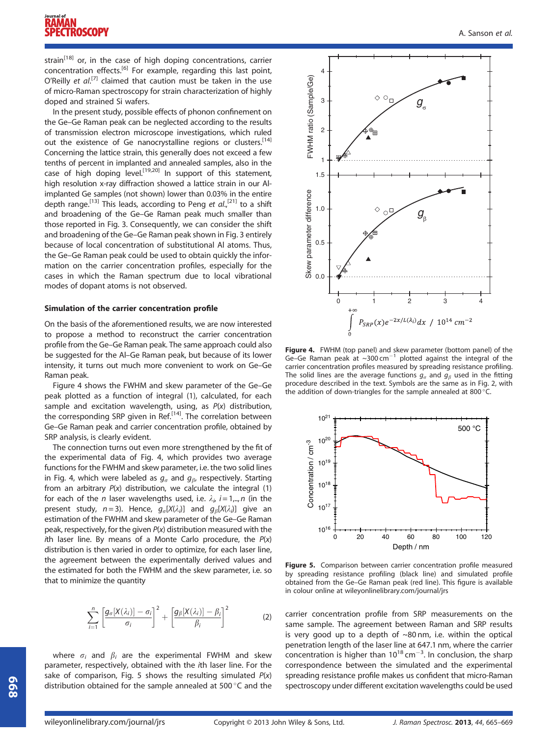strain $^{[18]}$  or, in the case of high doping concentrations, carrier concentration effects.<sup>[6]</sup> For example, regarding this last point, O'Reilly et  $al^{[7]}$  claimed that caution must be taken in the use of micro-Raman spectroscopy for strain characterization of highly doped and strained Si wafers.

In the present study, possible effects of phonon confinement on the Ge–Ge Raman peak can be neglected according to the results of transmission electron microscope investigations, which ruled out the existence of Ge nanocrystalline regions or clusters.<sup>[14]</sup> Concerning the lattice strain, this generally does not exceed a few tenths of percent in implanted and annealed samples, also in the case of high doping level.<sup>[19,20]</sup> In support of this statement, high resolution x-ray diffraction showed a lattice strain in our Alimplanted Ge samples (not shown) lower than 0.03% in the entire depth range.<sup>[13]</sup> This leads, according to Peng et al.,<sup>[21]</sup> to a shift and broadening of the Ge–Ge Raman peak much smaller than those reported in Fig. 3. Consequently, we can consider the shift and broadening of the Ge–Ge Raman peak shown in Fig. 3 entirely because of local concentration of substitutional Al atoms. Thus, the Ge–Ge Raman peak could be used to obtain quickly the information on the carrier concentration profiles, especially for the cases in which the Raman spectrum due to local vibrational modes of dopant atoms is not observed.

#### Simulation of the carrier concentration profile

On the basis of the aforementioned results, we are now interested to propose a method to reconstruct the carrier concentration profile from the Ge–Ge Raman peak. The same approach could also be suggested for the Al–Ge Raman peak, but because of its lower intensity, it turns out much more convenient to work on Ge–Ge Raman peak.

Figure 4 shows the FWHM and skew parameter of the Ge–Ge peak plotted as a function of integral (1), calculated, for each sample and excitation wavelength, using, as  $P(x)$  distribution, the corresponding SRP given in Ref.<sup>[14]</sup>. The correlation between Ge–Ge Raman peak and carrier concentration profile, obtained by SRP analysis, is clearly evident.

The connection turns out even more strengthened by the fit of the experimental data of Fig. 4, which provides two average functions for the FWHM and skew parameter, i.e. the two solid lines in Fig. 4, which were labeled as  $g_{\sigma}$  and  $g_{\beta}$ , respectively. Starting from an arbitrary  $P(x)$  distribution, we calculate the integral (1) for each of the  $n$  laser wavelengths used, i.e.  $\lambda_i$ ,  $i = 1,..,n$  (in the present study,  $n=3$ ). Hence,  $g_{\sigma}[X(\lambda_i)]$  and  $g_{\beta}[X(\lambda_i)]$  give an estimation of the FWHM and skew parameter of the Ge–Ge Raman peak, respectively, for the given  $P(x)$  distribution measured with the *i*th laser line. By means of a Monte Carlo procedure, the  $P(x)$ distribution is then varied in order to optimize, for each laser line, the agreement between the experimentally derived values and the estimated for both the FWHM and the skew parameter, i.e. so that to minimize the quantity

$$
\sum_{i=1}^{n} \left[ \frac{g_{\sigma}[X(\lambda_i)] - \sigma_i}{\sigma_i} \right]^2 + \left[ \frac{g_{\beta}[X(\lambda_i)] - \beta_i}{\beta_i} \right]^2 \tag{2}
$$

where  $\sigma_i$  and  $\beta_i$  are the experimental FWHM and skew parameter, respectively, obtained with the ith laser line. For the sake of comparison, Fig. 5 shows the resulting simulated  $P(x)$ distribution obtained for the sample annealed at 500 °C and the



**Figure 4.** FWHM (top panel) and skew parameter (bottom panel) of the Ge-Ge Raman peak at  $\sim$ 300 cm<sup>-1</sup> plotted against the integral of the carrier concentration profiles measured by spreading resistance profiling. The solid lines are the average functions  $g_{\sigma}$  and  $g_{\beta}$  used in the fitting procedure described in the text. Symbols are the same as in Fig. 2, with the addition of down-triangles for the sample annealed at 800 °C.



**Figure 5.** Comparison between carrier concentration profile measured by spreading resistance profiling (black line) and simulated profile obtained from the Ge–Ge Raman peak (red line). This figure is available in colour online at wileyonlinelibrary.com/journal/jrs

carrier concentration profile from SRP measurements on the same sample. The agreement between Raman and SRP results is very good up to a depth of  $~80$  nm, i.e. within the optical penetration length of the laser line at 647.1 nm, where the carrier concentration is higher than  $10^{18}$  cm<sup>-3</sup>. In conclusion, the sharp correspondence between the simulated and the experimental spreading resistance profile makes us confident that micro-Raman spectroscopy under different excitation wavelengths could be used